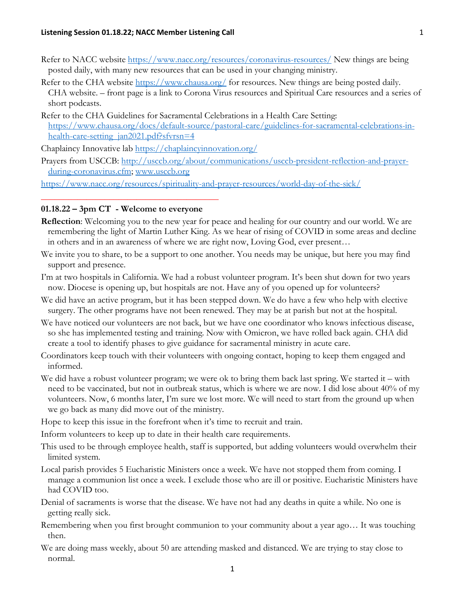- Refer to NACC website<https://www.nacc.org/resources/coronavirus-resources/> New things are being posted daily, with many new resources that can be used in your changing ministry.
- Refer to the CHA website<https://www.chausa.org/> for resources. New things are being posted daily. CHA website. – front page is a link to Corona Virus resources and Spiritual Care resources and a series of short podcasts.
- Refer to the CHA Guidelines for Sacramental Celebrations in a Health Care Setting: [https://www.chausa.org/docs/default-source/pastoral-care/guidelines-for-sacramental-celebrations-in](https://www.chausa.org/docs/default-source/pastoral-care/guidelines-for-sacramental-celebrations-in-health-care-setting_jan2021.pdf?sfvrsn=4)[health-care-setting\\_jan2021.pdf?sfvrsn=4](https://www.chausa.org/docs/default-source/pastoral-care/guidelines-for-sacramental-celebrations-in-health-care-setting_jan2021.pdf?sfvrsn=4)

Chaplaincy Innovative lab<https://chaplaincyinnovation.org/>

Prayers from USCCB: [http://usccb.org/about/communications/usccb-president-reflection-and-prayer](http://usccb.org/about/communications/usccb-president-reflection-and-prayer-during-coronavirus.cfm)[during-coronavirus.cfm;](http://usccb.org/about/communications/usccb-president-reflection-and-prayer-during-coronavirus.cfm) [www.usccb.org](http://www.usccb.org/)

<https://www.nacc.org/resources/spirituality-and-prayer-resources/world-day-of-the-sick/>

## **01.18.22 – 3pm CT - Welcome to everyone**

**\_\_\_\_\_\_\_\_\_\_\_\_\_\_\_\_\_\_\_\_\_\_\_\_\_\_\_\_\_\_\_\_\_\_\_\_\_\_\_**

- **Reflection**: Welcoming you to the new year for peace and healing for our country and our world. We are remembering the light of Martin Luther King. As we hear of rising of COVID in some areas and decline in others and in an awareness of where we are right now, Loving God, ever present…
- We invite you to share, to be a support to one another. You needs may be unique, but here you may find support and presence.
- I'm at two hospitals in California. We had a robust volunteer program. It's been shut down for two years now. Diocese is opening up, but hospitals are not. Have any of you opened up for volunteers?
- We did have an active program, but it has been stepped down. We do have a few who help with elective surgery. The other programs have not been renewed. They may be at parish but not at the hospital.
- We have noticed our volunteers are not back, but we have one coordinator who knows infectious disease, so she has implemented testing and training. Now with Omicron, we have rolled back again. CHA did create a tool to identify phases to give guidance for sacramental ministry in acute care.
- Coordinators keep touch with their volunteers with ongoing contact, hoping to keep them engaged and informed.
- We did have a robust volunteer program; we were ok to bring them back last spring. We started it with need to be vaccinated, but not in outbreak status, which is where we are now. I did lose about 40% of my volunteers. Now, 6 months later, I'm sure we lost more. We will need to start from the ground up when we go back as many did move out of the ministry.

Hope to keep this issue in the forefront when it's time to recruit and train.

Inform volunteers to keep up to date in their health care requirements.

- This used to be through employee health, staff is supported, but adding volunteers would overwhelm their limited system.
- Local parish provides 5 Eucharistic Ministers once a week. We have not stopped them from coming. I manage a communion list once a week. I exclude those who are ill or positive. Eucharistic Ministers have had COVID too.
- Denial of sacraments is worse that the disease. We have not had any deaths in quite a while. No one is getting really sick.
- Remembering when you first brought communion to your community about a year ago… It was touching then.
- We are doing mass weekly, about 50 are attending masked and distanced. We are trying to stay close to normal.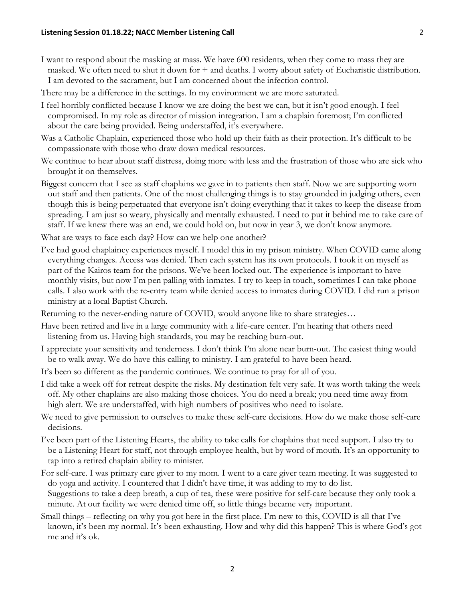- I want to respond about the masking at mass. We have 600 residents, when they come to mass they are masked. We often need to shut it down for + and deaths. I worry about safety of Eucharistic distribution. I am devoted to the sacrament, but I am concerned about the infection control.
- There may be a difference in the settings. In my environment we are more saturated.
- I feel horribly conflicted because I know we are doing the best we can, but it isn't good enough. I feel compromised. In my role as director of mission integration. I am a chaplain foremost; I'm conflicted about the care being provided. Being understaffed, it's everywhere.
- Was a Catholic Chaplain, experienced those who hold up their faith as their protection. It's difficult to be compassionate with those who draw down medical resources.
- We continue to hear about staff distress, doing more with less and the frustration of those who are sick who brought it on themselves.
- Biggest concern that I see as staff chaplains we gave in to patients then staff. Now we are supporting worn out staff and then patients. One of the most challenging things is to stay grounded in judging others, even though this is being perpetuated that everyone isn't doing everything that it takes to keep the disease from spreading. I am just so weary, physically and mentally exhausted. I need to put it behind me to take care of staff. If we knew there was an end, we could hold on, but now in year 3, we don't know anymore.
- What are ways to face each day? How can we help one another?
- I've had good chaplaincy experiences myself. I model this in my prison ministry. When COVID came along everything changes. Access was denied. Then each system has its own protocols. I took it on myself as part of the Kairos team for the prisons. We've been locked out. The experience is important to have monthly visits, but now I'm pen palling with inmates. I try to keep in touch, sometimes I can take phone calls. I also work with the re-entry team while denied access to inmates during COVID. I did run a prison ministry at a local Baptist Church.
- Returning to the never-ending nature of COVID, would anyone like to share strategies…
- Have been retired and live in a large community with a life-care center. I'm hearing that others need listening from us. Having high standards, you may be reaching burn-out.
- I appreciate your sensitivity and tenderness. I don't think I'm alone near burn-out. The easiest thing would be to walk away. We do have this calling to ministry. I am grateful to have been heard.
- It's been so different as the pandemic continues. We continue to pray for all of you.
- I did take a week off for retreat despite the risks. My destination felt very safe. It was worth taking the week off. My other chaplains are also making those choices. You do need a break; you need time away from high alert. We are understaffed, with high numbers of positives who need to isolate.
- We need to give permission to ourselves to make these self-care decisions. How do we make those self-care decisions.
- I've been part of the Listening Hearts, the ability to take calls for chaplains that need support. I also try to be a Listening Heart for staff, not through employee health, but by word of mouth. It's an opportunity to tap into a retired chaplain ability to minister.
- For self-care. I was primary care giver to my mom. I went to a care giver team meeting. It was suggested to do yoga and activity. I countered that I didn't have time, it was adding to my to do list. Suggestions to take a deep breath, a cup of tea, these were positive for self-care because they only took a minute. At our facility we were denied time off, so little things became very important.
- Small things reflecting on why you got here in the first place. I'm new to this, COVID is all that I've known, it's been my normal. It's been exhausting. How and why did this happen? This is where God's got me and it's ok.